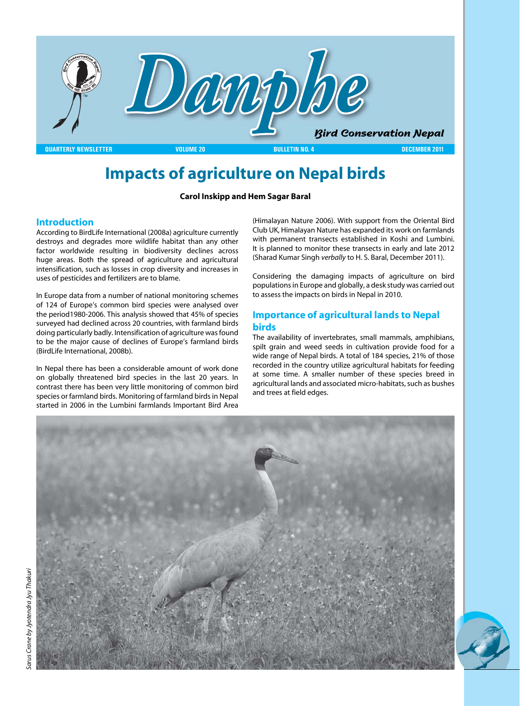

# **Impacts of agriculture on Nepal birds**

### **Carol Inskipp and Hem Sagar Baral**

### **Introduction**

According to BirdLife International (2008a) agriculture currently destroys and degrades more wildlife habitat than any other factor worldwide resulting in biodiversity declines across huge areas. Both the spread of agriculture and agricultural intensification, such as losses in crop diversity and increases in uses of pesticides and fertilizers are to blame.

In Europe data from a number of national monitoring schemes of 124 of Europe's common bird species were analysed over the period1980-2006. This analysis showed that 45% of species surveyed had declined across 20 countries, with farmland birds doing particularly badly. Intensification of agriculture was found to be the major cause of declines of Europe's farmland birds (BirdLife International, 2008b).

In Nepal there has been a considerable amount of work done on globally threatened bird species in the last 20 years. In contrast there has been very little monitoring of common bird species or farmland birds. Monitoring of farmland birds in Nepal started in 2006 in the Lumbini farmlands Important Bird Area

(Himalayan Nature 2006). With support from the Oriental Bird Club UK, Himalayan Nature has expanded its work on farmlands with permanent transects established in Koshi and Lumbini. It is planned to monitor these transects in early and late 2012 (Sharad Kumar Singh *verbally* to H. S. Baral, December 2011).

Considering the damaging impacts of agriculture on bird populations in Europe and globally, a desk study was carried out to assess the impacts on birds in Nepal in 2010.

### **Importance of agricultural lands to Nepal birds**

The availability of invertebrates, small mammals, amphibians, spilt grain and weed seeds in cultivation provide food for a wide range of Nepal birds. A total of 184 species, 21% of those recorded in the country utilize agricultural habitats for feeding at some time. A smaller number of these species breed in agricultural lands and associated micro-habitats, such as bushes and trees at field edges.



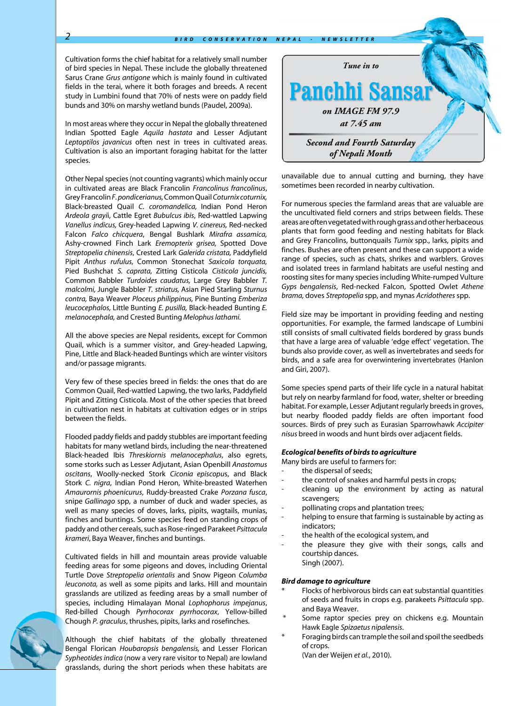Cultivation forms the chief habitat for a relatively small number of bird species in Nepal. These include the globally threatened Sarus Crane *Grus antigone* which is mainly found in cultivated fields in the terai, where it both forages and breeds. A recent study in Lumbini found that 70% of nests were on paddy field bunds and 30% on marshy wetland bunds (Paudel, 2009a).

In most areas where they occur in Nepal the globally threatened Indian Spotted Eagle *Aquila hastata* and Lesser Adjutant *Leptoptilos javanicus* often nest in trees in cultivated areas. Cultivation is also an important foraging habitat for the latter species.

Other Nepal species (not counting vagrants) which mainly occur in cultivated areas are Black Francolin *Francolinus francolinus*, Grey Francolin *F. pondicerianus,* Common Quail *Coturnix coturnix,*  Black-breasted Quail *C. coromandelica,* Indian Pond Heron *Ardeola grayi*i, Cattle Egret *Bubulcus ibis*, Red-wattled Lapwing *Vanellus indicus,* Grey-headed Lapwing *V. cinereus,* Red-necked Falcon *Falco chicquera*, Bengal Bushlark *Mirafra assamica,*  Ashy-crowned Finch Lark *Eremopterix grisea,* Spotted Dove *Streptopelia chinensis*, Crested Lark *Galerida cristata,* Paddyfield Pipit *Anthus rufulus,* Common Stonechat *Saxicola torquata,*  Pied Bushchat *S. caprata,* Zitting Cisticola *Cisticola juncidis,*  Common Babbler *Turdoides caudatus,* Large Grey Babbler *T. malcolmi,* Jungle Babbler *T. striatus,* Asian Pied Starling *Sturnus contra,* Baya Weaver *Ploceus philippinus,* Pine Bunting *Emberiza leucocephalos,* Little Bunting *E. pusilla,* Black-headed Bunting *E. melanocephala,* and Crested Bunting *Melophus lathami.* 

All the above species are Nepal residents, except for Common Quail, which is a summer visitor, and Grey-headed Lapwing, Pine, Little and Black-headed Buntings which are winter visitors and/or passage migrants.

Very few of these species breed in fields: the ones that do are Common Quail, Red-wattled Lapwing, the two larks, Paddyfield Pipit and Zitting Cisticola. Most of the other species that breed in cultivation nest in habitats at cultivation edges or in strips between the fields.

Flooded paddy fields and paddy stubbles are important feeding habitats for many wetland birds, including the near-threatened Black-headed Ibis *Threskiornis melanocephalus*, also egrets, some storks such as Lesser Adjutant, Asian Openbill *Anastomus oscitans*, Woolly-necked Stork *Ciconia episcopu*s, and Black Stork *C. nigra*, Indian Pond Heron, White-breasted Waterhen *Amaurornis phoenicurus*, Ruddy-breasted Crake *Porzana fusca*, snipe *Gallinago* spp, a number of duck and wader species, as well as many species of doves, larks, pipits, wagtails, munias, finches and buntings. Some species feed on standing crops of paddy and other cereals, such as Rose-ringed Parakeet *Psittacula krameri*, Baya Weaver, finches and buntings.

Cultivated fields in hill and mountain areas provide valuable feeding areas for some pigeons and doves, including Oriental Turtle Dove *Streptopelia orientalis* and Snow Pigeon *Columba leuconota,* as well as some pipits and larks. Hill and mountain grasslands are utilized as feeding areas by a small number of species, including Himalayan Monal *Lophophorus impejanus*, Red-billed Chough *Pyrrhocorax pyrrhocorax*, Yellow-billed Chough *P. graculus*, thrushes, pipits, larks and rosefinches.

Although the chief habitats of the globally threatened Bengal Florican *Houbaropsis bengalensis,* and Lesser Florican *Sypheotides indica* (now a very rare visitor to Nepal) are lowland grasslands, during the short periods when these habitats are



unavailable due to annual cutting and burning, they have sometimes been recorded in nearby cultivation.

For numerous species the farmland areas that are valuable are the uncultivated field corners and strips between fields. These areas are often vegetated with rough grass and other herbaceous plants that form good feeding and nesting habitats for Black and Grey Francolins, buttonquails *Turnix* spp., larks, pipits and finches. Bushes are often present and these can support a wide range of species, such as chats, shrikes and warblers. Groves and isolated trees in farmland habitats are useful nesting and roosting sites for many species including White-rumped Vulture *Gyps bengalensis*, Red-necked Falcon, Spotted Owlet *Athene brama,* doves *Streptopelia* spp, and mynas *Acridotheres* spp.

Field size may be important in providing feeding and nesting opportunities. For example, the farmed landscape of Lumbini still consists of small cultivated fields bordered by grass bunds that have a large area of valuable 'edge effect' vegetation. The bunds also provide cover, as well as invertebrates and seeds for birds, and a safe area for overwintering invertebrates (Hanlon and Giri, 2007).

Some species spend parts of their life cycle in a natural habitat but rely on nearby farmland for food, water, shelter or breeding habitat. For example, Lesser Adjutant regularly breeds in groves, but nearby flooded paddy fields are often important food sources. Birds of prey such as Eurasian Sparrowhawk *Accipiter nisus* breed in woods and hunt birds over adjacent fields.

#### *Ecological benefits of birds to agriculture*

Many birds are useful to farmers for:

- the dispersal of seeds;
- the control of snakes and harmful pests in crops;
- cleaning up the environment by acting as natural scavengers;
- pollinating crops and plantation trees;
- helping to ensure that farming is sustainable by acting as indicators;
- the health of the ecological system, and
- the pleasure they give with their songs, calls and courtship dances. Singh (2007).

#### *Bird damage to agriculture*

- Flocks of herbivorous birds can eat substantial quantities of seeds and fruits in crops e.g. parakeets *Psittacula* spp. and Baya Weaver.
- Some raptor species prey on chickens e.g. Mountain Hawk Eagle *Spizaetus nipalensis*.
- Foraging birds can trample the soil and spoil the seedbeds of crops.

(Van der Weijen *et al.*, 2010).

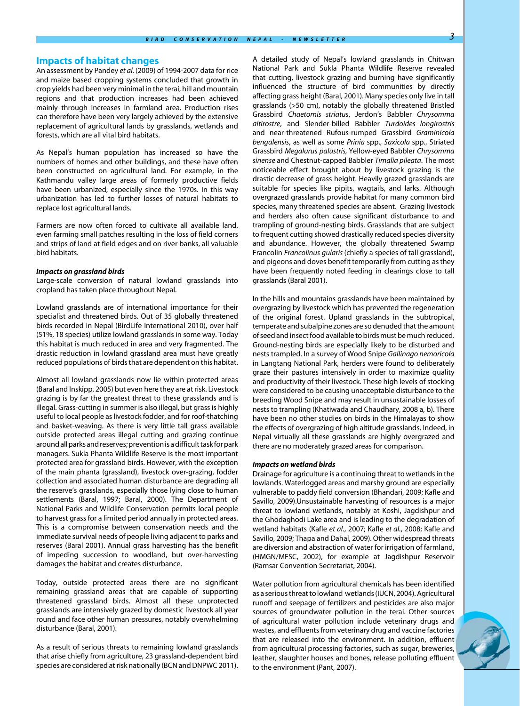#### **Impacts of habitat changes**

An assessment by Pandey *et al.* (2009) of 1994-2007 data for rice and maize based cropping systems concluded that growth in crop yields had been very minimal in the terai, hill and mountain regions and that production increases had been achieved mainly through increases in farmland area. Production rises can therefore have been very largely achieved by the extensive replacement of agricultural lands by grasslands, wetlands and forests, which are all vital bird habitats.

As Nepal's human population has increased so have the numbers of homes and other buildings, and these have often been constructed on agricultural land. For example, in the Kathmandu valley large areas of formerly productive fields have been urbanized, especially since the 1970s. In this way urbanization has led to further losses of natural habitats to replace lost agricultural lands.

Farmers are now often forced to cultivate all available land, even farming small patches resulting in the loss of field corners and strips of land at field edges and on river banks, all valuable bird habitats.

#### *Impacts on grassland birds*

Large-scale conversion of natural lowland grasslands into cropland has taken place throughout Nepal.

Lowland grasslands are of international importance for their specialist and threatened birds. Out of 35 globally threatened birds recorded in Nepal (BirdLife International 2010), over half (51%, 18 species) utilize lowland grasslands in some way. Today this habitat is much reduced in area and very fragmented. The drastic reduction in lowland grassland area must have greatly reduced populations of birds that are dependent on this habitat.

Almost all lowland grasslands now lie within protected areas (Baral and Inskipp, 2005) but even here they are at risk. Livestock grazing is by far the greatest threat to these grasslands and is illegal. Grass-cutting in summer is also illegal, but grass is highly useful to local people as livestock fodder, and for roof-thatching and basket-weaving. As there is very little tall grass available outside protected areas illegal cutting and grazing continue around all parks and reserves; prevention is a difficult task for park managers. Sukla Phanta Wildlife Reserve is the most important protected area for grassland birds. However, with the exception of the main phanta (grassland), livestock over-grazing, fodder collection and associated human disturbance are degrading all the reserve's grasslands, especially those lying close to human settlements (Baral, 1997; Baral, 2000). The Department of National Parks and Wildlife Conservation permits local people to harvest grass for a limited period annually in protected areas. This is a compromise between conservation needs and the immediate survival needs of people living adjacent to parks and reserves (Baral 2001). Annual grass harvesting has the benefit of impeding succession to woodland, but over-harvesting damages the habitat and creates disturbance.

Today, outside protected areas there are no significant remaining grassland areas that are capable of supporting threatened grassland birds. Almost all these unprotected grasslands are intensively grazed by domestic livestock all year round and face other human pressures, notably overwhelming disturbance (Baral, 2001).

As a result of serious threats to remaining lowland grasslands that arise chiefly from agriculture, 23 grassland-dependent bird species are considered at risk nationally (BCN and DNPWC 2011).

A detailed study of Nepal's lowland grasslands in Chitwan National Park and Sukla Phanta Wildlife Reserve revealed that cutting, livestock grazing and burning have significantly influenced the structure of bird communities by directly affecting grass height (Baral, 2001). Many species only live in tall grasslands (>50 cm), notably the globally threatened Bristled Grassbird *Chaetornis striatus*, Jerdon's Babbler *Chrysomma altirostre*, and Slender-billed Babbler *Turdoides longirostris*  and near-threatened Rufous-rumped Grassbird *Graminicola bengalensis*, as well as some *Prinia* spp., *Saxicola* spp., Striated Grassbird *Megalurus palustris,* Yellow-eyed Babbler *Chrysomma sinense* and Chestnut-capped Babbler *Timalia pileata*. The most noticeable effect brought about by livestock grazing is the drastic decrease of grass height. Heavily grazed grasslands are suitable for species like pipits, wagtails, and larks. Although overgrazed grasslands provide habitat for many common bird species, many threatened species are absent. Grazing livestock and herders also often cause significant disturbance to and trampling of ground-nesting birds. Grasslands that are subject to frequent cutting showed drastically reduced species diversity and abundance. However, the globally threatened Swamp Francolin *Francolinus gularis* (chiefly a species of tall grassland), and pigeons and doves benefit temporarily from cutting as they have been frequently noted feeding in clearings close to tall grasslands (Baral 2001).

In the hills and mountains grasslands have been maintained by overgrazing by livestock which has prevented the regeneration of the original forest. Upland grasslands in the subtropical, temperate and subalpine zones are so denuded that the amount of seed and insect food available to birds must be much reduced. Ground-nesting birds are especially likely to be disturbed and nests trampled. In a survey of Wood Snipe *Gallinago nemoricola*  in Langtang National Park, herders were found to deliberately graze their pastures intensively in order to maximize quality and productivity of their livestock. These high levels of stocking were considered to be causing unacceptable disturbance to the breeding Wood Snipe and may result in unsustainable losses of nests to trampling (Khatiwada and Chaudhary, 2008 a, b). There have been no other studies on birds in the Himalayas to show the effects of overgrazing of high altitude grasslands. Indeed, in Nepal virtually all these grasslands are highly overgrazed and there are no moderately grazed areas for comparison.

#### *Impacts on wetland birds*

Drainage for agriculture is a continuing threat to wetlands in the lowlands. Waterlogged areas and marshy ground are especially vulnerable to paddy field conversion (Bhandari, 2009; Kafle and Savillo, 2009).Unsustainable harvesting of resources is a major threat to lowland wetlands, notably at Koshi, Jagdishpur and the Ghodaghodi Lake area and is leading to the degradation of wetland habitats (Kafle *et al.*, 2007; Kafle *et al.*, 2008; Kafle and Savillo, 2009; Thapa and Dahal, 2009). Other widespread threats are diversion and abstraction of water for irrigation of farmland, (HMGN/MFSC, 2002), for example at Jagdishpur Reservoir (Ramsar Convention Secretariat, 2004).

Water pollution from agricultural chemicals has been identified as a serious threat to lowland wetlands (IUCN, 2004). Agricultural runoff and seepage of fertilizers and pesticides are also major sources of groundwater pollution in the terai. Other sources of agricultural water pollution include veterinary drugs and wastes, and effluents from veterinary drug and vaccine factories that are released into the environment. In addition, effluent from agricultural processing factories, such as sugar, breweries, leather, slaughter houses and bones, release polluting effluent to the environment (Pant, 2007).

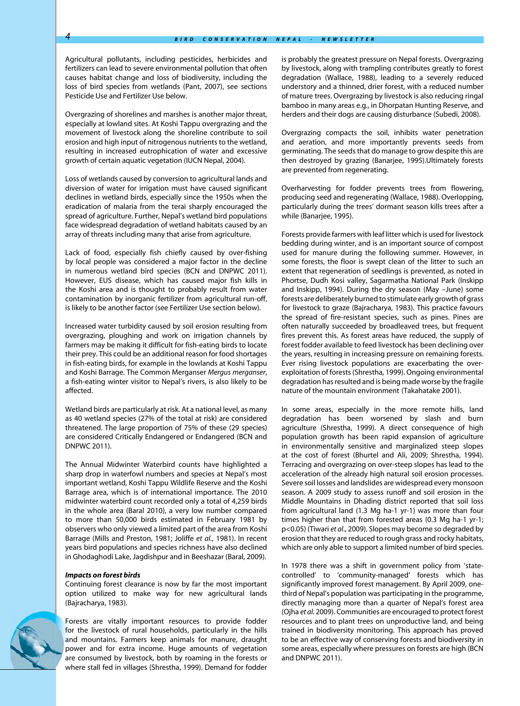Agricultural pollutants, including pesticides, herbicides and fertilizers can lead to severe environmental pollution that often causes habitat change and loss of biodiversity, including the loss of bird species from wetlands (Pant, 2007), see sections Pesticide Use and Fertilizer Use below.

Overgrazing of shorelines and marshes is another major threat, especially at lowland sites. At Koshi Tappu overgrazing and the movement of livestock along the shoreline contribute to soil erosion and high input of nitrogenous nutrients to the wetland, resulting in increased eutrophication of water and excessive growth of certain aquatic vegetation (IUCN Nepal, 2004).

Loss of wetlands caused by conversion to agricultural lands and diversion of water for irrigation must have caused significant declines in wetland birds, especially since the 1950s when the eradication of malaria from the terai sharply encouraged the spread of agriculture. Further, Nepal's wetland bird populations face widespread degradation of wetland habitats caused by an array of threats including many that arise from agriculture.

Lack of food, especially fish chiefly caused by over-fishing by local people was considered a major factor in the decline in numerous wetland bird species (BCN and DNPWC 2011). However, EUS disease, which has caused major fish kills in the Koshi area and is thought to probably result from water contamination by inorganic fertilizer from agricultural run-off, is likely to be another factor (see Fertilizer Use section below).

Increased water turbidity caused by soil erosion resulting from overgrazing, ploughing and work on irrigation channels by farmers may be making it difficult for fish-eating birds to locate their prey. This could be an additional reason for food shortages in fish-eating birds, for example in the lowlands at Koshi Tappu and Koshi Barrage. The Common Merganser *Mergus merganser*, a fish-eating winter visitor to Nepal's rivers, is also likely to be affected.

Wetland birds are particularly at risk. At a national level, as many as 40 wetland species (27% of the total at risk) are considered threatened. The large proportion of 75% of these (29 species) are considered Critically Endangered or Endangered (BCN and DNPWC 2011).

The Annual Midwinter Waterbird counts have highlighted a sharp drop in waterfowl numbers and species at Nepal's most important wetland, Koshi Tappu Wildlife Reserve and the Koshi Barrage area, which is of international importance. The 2010 midwinter waterbird count recorded only a total of 4,259 birds in the whole area (Baral 2010), a very low number compared to more than 50,000 birds estimated in February 1981 by observers who only viewed a limited part of the area from Koshi Barrage (Mills and Preston, 1981; Joliffe *et al.*, 1981). In recent years bird populations and species richness have also declined in Ghodaghodi Lake, Jagdishpur and in Beeshazar (Baral, 2009).

#### *Impacts on forest birds*

Continuing forest clearance is now by far the most important option utilized to make way for new agricultural lands (Bajracharya, 1983).



Forests are vitally important resources to provide fodder for the livestock of rural households, particularly in the hills and mountains. Farmers keep animals for manure, draught power and for extra income. Huge amounts of vegetation are consumed by livestock, both by roaming in the forests or where stall fed in villages (Shrestha, 1999). Demand for fodder is probably the greatest pressure on Nepal forests. Overgrazing by livestock, along with trampling contributes greatly to forest degradation (Wallace, 1988), leading to a severely reduced understory and a thinned, drier forest, with a reduced number of mature trees. Overgrazing by livestock is also reducing ringal bamboo in many areas e.g., in Dhorpatan Hunting Reserve, and herders and their dogs are causing disturbance (Subedi, 2008).

Overgrazing compacts the soil, inhibits water penetration and aeration, and more importantly prevents seeds from germinating. The seeds that do manage to grow despite this are then destroyed by grazing (Banarjee, 1995).Ultimately forests are prevented from regenerating.

Overharvesting for fodder prevents trees from flowering, producing seed and regenerating (Wallace, 1988). Overlopping, particularly during the trees' dormant season kills trees after a while (Banarjee, 1995).

Forests provide farmers with leaf litter which is used for livestock bedding during winter, and is an important source of compost used for manure during the following summer. However, in some forests, the floor is swept clean of the litter to such an extent that regeneration of seedlings is prevented, as noted in Phortse, Dudh Kosi valley, Sagarmatha National Park (Inskipp and Inskipp, 1994). During the dry season (May –June) some forests are deliberately burned to stimulate early growth of grass for livestock to graze (Bajracharya, 1983). This practice favours the spread of fire-resistant species, such as pines. Pines are often naturally succeeded by broadleaved trees, but frequent fires prevent this. As forest areas have reduced, the supply of forest fodder available to feed livestock has been declining over the years, resulting in increasing pressure on remaining forests. Ever rising livestock populations are exacerbating the overexploitation of forests (Shrestha, 1999). Ongoing environmental degradation has resulted and is being made worse by the fragile nature of the mountain environment (Takahatake 2001).

In some areas, especially in the more remote hills, land degradation has been worsened by slash and burn agriculture (Shrestha, 1999). A direct consequence of high population growth has been rapid expansion of agriculture in environmentally sensitive and marginalized steep slopes at the cost of forest (Bhurtel and Ali, 2009; Shrestha, 1994). Terracing and overgrazing on over-steep slopes has lead to the acceleration of the already high natural soil erosion processes. Severe soil losses and landslides are widespread every monsoon season. A 2009 study to assess runoff and soil erosion in the Middle Mountains in Dhading district reported that soil loss from agricultural land (1.3 Mg ha-1 yr-1) was more than four times higher than that from forested areas (0.3 Mg ha-1 yr-1; p<0.05) (Tiwari *et al*., 2009). Slopes may become so degraded by erosion that they are reduced to rough grass and rocky habitats, which are only able to support a limited number of bird species.

In 1978 there was a shift in government policy from 'statecontrolled' to 'community-managed' forests which has significantly improved forest management. By April 2009, onethird of Nepal's population was participating in the programme, directly managing more than a quarter of Nepal's forest area (Ojha *et al.* 2009). Communities are encouraged to protect forest resources and to plant trees on unproductive land, and being trained in biodiversity monitoring. This approach has proved to be an effective way of conserving forests and biodiversity in some areas, especially where pressures on forests are high (BCN and DNPWC 2011).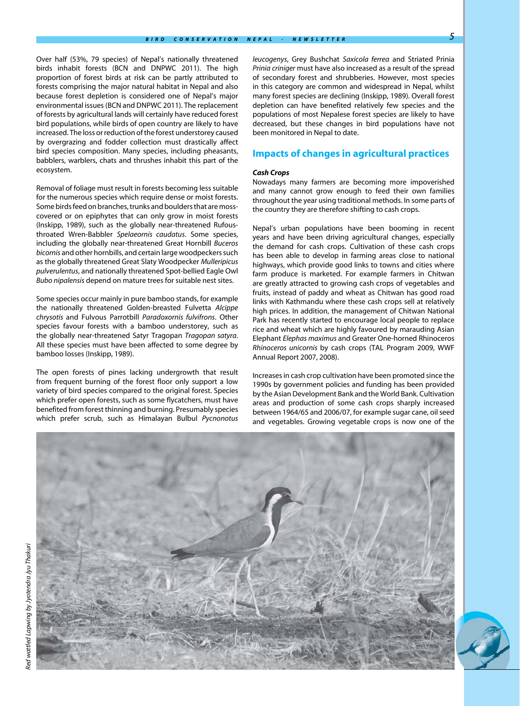Over half (53%, 79 species) of Nepal's nationally threatened birds inhabit forests (BCN and DNPWC 2011). The high proportion of forest birds at risk can be partly attributed to forests comprising the major natural habitat in Nepal and also because forest depletion is considered one of Nepal's major environmental issues (BCN and DNPWC 2011). The replacement of forests by agricultural lands will certainly have reduced forest bird populations, while birds of open country are likely to have increased. The loss or reduction of the forest understorey caused by overgrazing and fodder collection must drastically affect bird species composition. Many species, including pheasants, babblers, warblers, chats and thrushes inhabit this part of the ecosystem.

Removal of foliage must result in forests becoming less suitable for the numerous species which require dense or moist forests. Some birds feed on branches, trunks and boulders that are mosscovered or on epiphytes that can only grow in moist forests (Inskipp, 1989), such as the globally near-threatened Rufousthroated Wren-Babbler *Spelaeornis caudatus*. Some species, including the globally near-threatened Great Hornbill *Buceros bicornis* and other hornbills, and certain large woodpeckers such as the globally threatened Great Slaty Woodpecker *Mulleripicus pulverulentus*, and nationally threatened Spot-bellied Eagle Owl *Bubo nipalensis* depend on mature trees for suitable nest sites.

Some species occur mainly in pure bamboo stands, for example the nationally threatened Golden-breasted Fulvetta *Alcippe chrysotis* and Fulvous Parrotbill *Paradoxornis fulvifrons*. Other species favour forests with a bamboo understorey, such as the globally near-threatened Satyr Tragopan *Tragopan satyra*. All these species must have been affected to some degree by bamboo losses (Inskipp, 1989).

The open forests of pines lacking undergrowth that result from frequent burning of the forest floor only support a low variety of bird species compared to the original forest. Species which prefer open forests, such as some flycatchers, must have benefited from forest thinning and burning. Presumably species which prefer scrub, such as Himalayan Bulbul *Pycnonotus* 

*leucogenys*, Grey Bushchat *Saxicola ferrea* and Striated Prinia *Prinia criniger* must have also increased as a result of the spread of secondary forest and shrubberies. However, most species in this category are common and widespread in Nepal, whilst many forest species are declining (Inskipp, 1989). Overall forest depletion can have benefited relatively few species and the populations of most Nepalese forest species are likely to have decreased, but these changes in bird populations have not been monitored in Nepal to date.

### **Impacts of changes in agricultural practices**

#### *Cash Crops*

Nowadays many farmers are becoming more impoverished and many cannot grow enough to feed their own families throughout the year using traditional methods. In some parts of the country they are therefore shifting to cash crops.

Nepal's urban populations have been booming in recent years and have been driving agricultural changes, especially the demand for cash crops. Cultivation of these cash crops has been able to develop in farming areas close to national highways, which provide good links to towns and cities where farm produce is marketed. For example farmers in Chitwan are greatly attracted to growing cash crops of vegetables and fruits, instead of paddy and wheat as Chitwan has good road links with Kathmandu where these cash crops sell at relatively high prices. In addition, the management of Chitwan National Park has recently started to encourage local people to replace rice and wheat which are highly favoured by marauding Asian Elephant *Elephas maximus* and Greater One-horned Rhinoceros *Rhinoceros unicornis* by cash crops (TAL Program 2009, WWF Annual Report 2007, 2008).

Increases in cash crop cultivation have been promoted since the 1990s by government policies and funding has been provided by the Asian Development Bank and the World Bank. Cultivation areas and production of some cash crops sharply increased between 1964/65 and 2006/07, for example sugar cane, oil seed and vegetables. Growing vegetable crops is now one of the

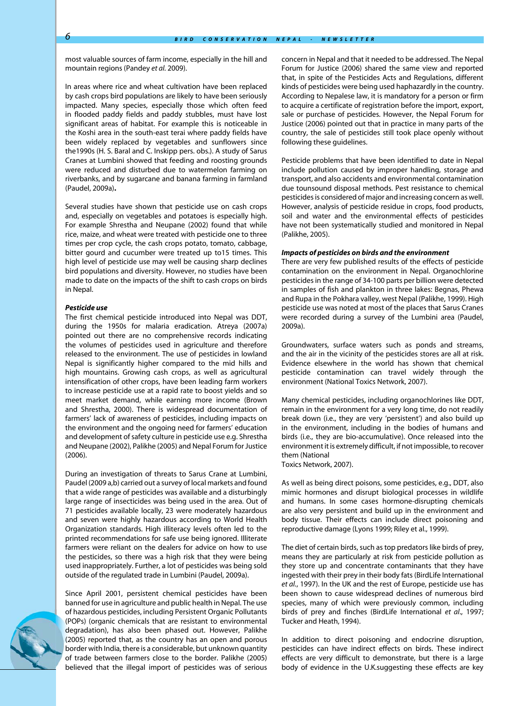most valuable sources of farm income, especially in the hill and mountain regions (Pandey *et al.* 2009).

In areas where rice and wheat cultivation have been replaced by cash crops bird populations are likely to have been seriously impacted. Many species, especially those which often feed in flooded paddy fields and paddy stubbles, must have lost significant areas of habitat. For example this is noticeable in the Koshi area in the south-east terai where paddy fields have been widely replaced by vegetables and sunflowers since the1990s (H. S. Baral and C. Inskipp pers. obs.). A study of Sarus Cranes at Lumbini showed that feeding and roosting grounds were reduced and disturbed due to watermelon farming on riverbanks, and by sugarcane and banana farming in farmland (Paudel, 2009a)**.** 

Several studies have shown that pesticide use on cash crops and, especially on vegetables and potatoes is especially high. For example Shrestha and Neupane (2002) found that while rice, maize, and wheat were treated with pesticide one to three times per crop cycle, the cash crops potato, tomato, cabbage, bitter gourd and cucumber were treated up to15 times. This high level of pesticide use may well be causing sharp declines bird populations and diversity. However, no studies have been made to date on the impacts of the shift to cash crops on birds in Nepal.

#### *Pesticide use*

The first chemical pesticide introduced into Nepal was DDT, during the 1950s for malaria eradication. Atreya (2007a) pointed out there are no comprehensive records indicating the volumes of pesticides used in agriculture and therefore released to the environment. The use of pesticides in lowland Nepal is significantly higher compared to the mid hills and high mountains. Growing cash crops, as well as agricultural intensification of other crops, have been leading farm workers to increase pesticide use at a rapid rate to boost yields and so meet market demand, while earning more income (Brown and Shrestha, 2000). There is widespread documentation of farmers' lack of awareness of pesticides, including impacts on the environment and the ongoing need for farmers' education and development of safety culture in pesticide use e.g. Shrestha and Neupane (2002), Palikhe (2005) and Nepal Forum for Justice (2006).

During an investigation of threats to Sarus Crane at Lumbini, Paudel (2009 a,b) carried out a survey of local markets and found that a wide range of pesticides was available and a disturbingly large range of insecticides was being used in the area. Out of 71 pesticides available locally, 23 were moderately hazardous and seven were highly hazardous according to World Health Organization standards. High illiteracy levels often led to the printed recommendations for safe use being ignored. Illiterate farmers were reliant on the dealers for advice on how to use the pesticides, so there was a high risk that they were being used inappropriately. Further, a lot of pesticides was being sold outside of the regulated trade in Lumbini (Paudel, 2009a).

Since April 2001, persistent chemical pesticides have been banned for use in agriculture and public health in Nepal. The use of hazardous pesticides, including Persistent Organic Pollutants (POPs) (organic chemicals that are resistant to environmental degradation), has also been phased out. However, Palikhe (2005) reported that, as the country has an open and porous border with India, there is a considerable, but unknown quantity of trade between farmers close to the border. Palikhe (2005) believed that the illegal import of pesticides was of serious concern in Nepal and that it needed to be addressed. The Nepal Forum for Justice (2006) shared the same view and reported that, in spite of the Pesticides Acts and Regulations, different kinds of pesticides were being used haphazardly in the country. According to Nepalese law, it is mandatory for a person or firm to acquire a certificate of registration before the import, export, sale or purchase of pesticides. However, the Nepal Forum for Justice (2006) pointed out that in practice in many parts of the country, the sale of pesticides still took place openly without following these guidelines.

Pesticide problems that have been identified to date in Nepal include pollution caused by improper handling, storage and transport, and also accidents and environmental contamination due tounsound disposal methods. Pest resistance to chemical pesticides is considered of major and increasing concern as well. However, analysis of pesticide residue in crops, food products, soil and water and the environmental effects of pesticides have not been systematically studied and monitored in Nepal (Palikhe, 2005).

#### *Impacts of pesticides on birds and the environment*

There are very few published results of the effects of pesticide contamination on the environment in Nepal. Organochlorine pesticides in the range of 34-100 parts per billion were detected in samples of fish and plankton in three lakes: Begnas, Phewa and Rupa in the Pokhara valley, west Nepal (Palikhe, 1999). High pesticide use was noted at most of the places that Sarus Cranes were recorded during a survey of the Lumbini area (Paudel, 2009a).

Groundwaters, surface waters such as ponds and streams, and the air in the vicinity of the pesticides stores are all at risk. Evidence elsewhere in the world has shown that chemical pesticide contamination can travel widely through the environment (National Toxics Network, 2007).

Many chemical pesticides, including organochlorines like DDT, remain in the environment for a very long time, do not readily break down (i.e., they are very 'persistent') and also build up in the environment, including in the bodies of humans and birds (i.e., they are bio-accumulative). Once released into the environment it is extremely difficult, if not impossible, to recover them (National

Toxics Network, 2007).

As well as being direct poisons, some pesticides, e.g., DDT, also mimic hormones and disrupt biological processes in wildlife and humans. In some cases hormone-disrupting chemicals are also very persistent and build up in the environment and body tissue. Their effects can include direct poisoning and reproductive damage (Lyons 1999; Riley et al., 1999).

The diet of certain birds, such as top predators like birds of prey, means they are particularly at risk from pesticide pollution as they store up and concentrate contaminants that they have ingested with their prey in their body fats (BirdLife International *et al.*, 1997). In the UK and the rest of Europe, pesticide use has been shown to cause widespread declines of numerous bird species, many of which were previously common, including birds of prey and finches (BirdLife International *et al*., 1997; Tucker and Heath, 1994).

In addition to direct poisoning and endocrine disruption, pesticides can have indirect effects on birds. These indirect effects are very difficult to demonstrate, but there is a large body of evidence in the U.K.suggesting these effects are key

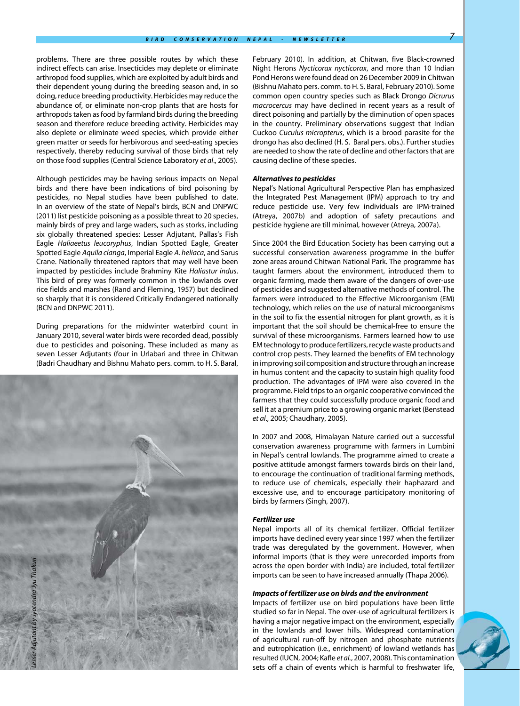problems. There are three possible routes by which these indirect effects can arise. Insecticides may deplete or eliminate arthropod food supplies, which are exploited by adult birds and their dependent young during the breeding season and, in so doing, reduce breeding productivity. Herbicides may reduce the abundance of, or eliminate non-crop plants that are hosts for arthropods taken as food by farmland birds during the breeding season and therefore reduce breeding activity. Herbicides may also deplete or eliminate weed species, which provide either green matter or seeds for herbivorous and seed-eating species respectively, thereby reducing survival of those birds that rely on those food supplies (Central Science Laboratory *et al*., 2005).

Although pesticides may be having serious impacts on Nepal birds and there have been indications of bird poisoning by pesticides, no Nepal studies have been published to date. In an overview of the state of Nepal's birds, BCN and DNPWC (2011) list pesticide poisoning as a possible threat to 20 species, mainly birds of prey and large waders, such as storks, including six globally threatened species: Lesser Adjutant, Pallas's Fish Eagle *Haliaeetus leucoryphus*, Indian Spotted Eagle, Greater Spotted Eagle *Aquila clanga*, Imperial Eagle *A. heliaca*, and Sarus Crane. Nationally threatened raptors that may well have been impacted by pesticides include Brahminy Kite *Haliastur indus*. This bird of prey was formerly common in the lowlands over rice fields and marshes (Rand and Fleming, 1957) but declined so sharply that it is considered Critically Endangered nationally (BCN and DNPWC 2011).

During preparations for the midwinter waterbird count in January 2010, several water birds were recorded dead, possibly due to pesticides and poisoning. These included as many as seven Lesser Adjutants (four in Urlabari and three in Chitwan (Badri Chaudhary and Bishnu Mahato pers. comm. to H. S. Baral,



February 2010). In addition, at Chitwan, five Black-crowned Night Herons *Nycticorax nycticorax*, and more than 10 Indian Pond Herons were found dead on 26 December 2009 in Chitwan (Bishnu Mahato pers. comm. to H. S. Baral, February 2010). Some common open country species such as Black Drongo *Dicrurus macrocercus* may have declined in recent years as a result of direct poisoning and partially by the diminution of open spaces in the country. Preliminary observations suggest that Indian Cuckoo *Cuculus micropterus*, which is a brood parasite for the drongo has also declined (H. S. Baral pers. obs.). Further studies are needed to show the rate of decline and other factors that are causing decline of these species.

#### *Alternatives to pesticides*

Nepal's National Agricultural Perspective Plan has emphasized the Integrated Pest Management (IPM) approach to try and reduce pesticide use. Very few individuals are IPM-trained (Atreya, 2007b) and adoption of safety precautions and pesticide hygiene are till minimal, however (Atreya, 2007a).

Since 2004 the Bird Education Society has been carrying out a successful conservation awareness programme in the buffer zone areas around Chitwan National Park. The programme has taught farmers about the environment, introduced them to organic farming, made them aware of the dangers of over-use of pesticides and suggested alternative methods of control. The farmers were introduced to the Effective Microorganism (EM) technology, which relies on the use of natural microorganisms in the soil to fix the essential nitrogen for plant growth, as it is important that the soil should be chemical-free to ensure the survival of these microorganisms. Farmers learned how to use EM technology to produce fertilizers, recycle waste products and control crop pests. They learned the benefits of EM technology in improving soil composition and structure through an increase in humus content and the capacity to sustain high quality food production. The advantages of IPM were also covered in the programme. Field trips to an organic cooperative convinced the farmers that they could successfully produce organic food and sell it at a premium price to a growing organic market (Benstead *et al*., 2005; Chaudhary, 2005).

In 2007 and 2008, Himalayan Nature carried out a successful conservation awareness programme with farmers in Lumbini in Nepal's central lowlands. The programme aimed to create a positive attitude amongst farmers towards birds on their land, to encourage the continuation of traditional farming methods, to reduce use of chemicals, especially their haphazard and excessive use, and to encourage participatory monitoring of birds by farmers (Singh, 2007).

#### *Fertilizer use*

Nepal imports all of its chemical fertilizer. Official fertilizer imports have declined every year since 1997 when the fertilizer trade was deregulated by the government. However, when informal imports (that is they were unrecorded imports from across the open border with India) are included, total fertilizer imports can be seen to have increased annually (Thapa 2006).

#### *Impacts of fertilizer use on birds and the environment*

Impacts of fertilizer use on bird populations have been little studied so far in Nepal. The over-use of agricultural fertilizers is having a major negative impact on the environment, especially in the lowlands and lower hills. Widespread contamination of agricultural run-off by nitrogen and phosphate nutrients and eutrophication (i.e., enrichment) of lowland wetlands has resulted (IUCN, 2004; Kafle *et al.*, 2007, 2008). This contamination sets off a chain of events which is harmful to freshwater life,

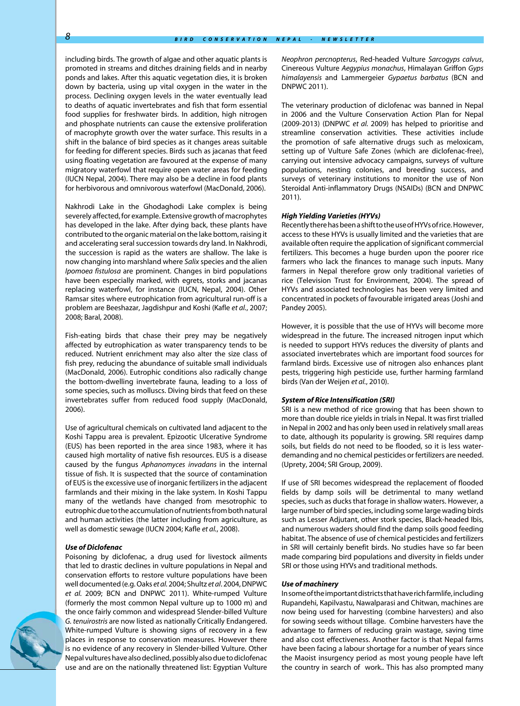including birds. The growth of algae and other aquatic plants is promoted in streams and ditches draining fields and in nearby ponds and lakes. After this aquatic vegetation dies, it is broken down by bacteria, using up vital oxygen in the water in the process. Declining oxygen levels in the water eventually lead to deaths of aquatic invertebrates and fish that form essential food supplies for freshwater birds. In addition, high nitrogen and phosphate nutrients can cause the extensive proliferation of macrophyte growth over the water surface. This results in a shift in the balance of bird species as it changes areas suitable for feeding for different species. Birds such as jacanas that feed using floating vegetation are favoured at the expense of many migratory waterfowl that require open water areas for feeding (IUCN Nepal, 2004). There may also be a decline in food plants for herbivorous and omnivorous waterfowl (MacDonald, 2006).

Nakhrodi Lake in the Ghodaghodi Lake complex is being severely affected, for example. Extensive growth of macrophytes has developed in the lake. After dying back, these plants have contributed to the organic material on the lake bottom, raising it and accelerating seral succession towards dry land. In Nakhrodi, the succession is rapid as the waters are shallow. The lake is now changing into marshland where *Salix* species and the alien *Ipomoea fistulosa* are prominent. Changes in bird populations have been especially marked, with egrets, storks and jacanas replacing waterfowl, for instance (IUCN, Nepal, 2004). Other Ramsar sites where eutrophication from agricultural run-off is a problem are Beeshazar, Jagdishpur and Koshi (Kafle *et al.*, 2007; 2008; Baral, 2008).

Fish-eating birds that chase their prey may be negatively affected by eutrophication as water transparency tends to be reduced. Nutrient enrichment may also alter the size class of fish prey, reducing the abundance of suitable small individuals (MacDonald, 2006). Eutrophic conditions also radically change the bottom-dwelling invertebrate fauna, leading to a loss of some species, such as molluscs. Diving birds that feed on these invertebrates suffer from reduced food supply (MacDonald, 2006).

Use of agricultural chemicals on cultivated land adjacent to the Koshi Tappu area is prevalent. Epizootic Ulcerative Syndrome (EUS) has been reported in the area since 1983, where it has caused high mortality of native fish resources. EUS is a disease caused by the fungus *Aphanomyces invadans* in the internal tissue of fish. It is suspected that the source of contamination of EUS is the excessive use of inorganic fertilizers in the adjacent farmlands and their mixing in the lake system. In Koshi Tappu many of the wetlands have changed from mesotrophic to eutrophic due to the accumulation of nutrients from both natural and human activities (the latter including from agriculture, as well as domestic sewage (IUCN 2004; Kafle *et al.*, 2008).

#### *Use of Diclofenac*

Poisoning by diclofenac, a drug used for livestock ailments that led to drastic declines in vulture populations in Nepal and conservation efforts to restore vulture populations have been well documented (e.g. Oaks *et al.* 2004; Shultz *et al*. 2004, DNPWC *et al.* 2009; BCN and DNPWC 2011). White-rumped Vulture (formerly the most common Nepal vulture up to 1000 m) and the once fairly common and widespread Slender-billed Vulture *G. tenuirostris* are now listed as nationally Critically Endangered. White-rumped Vulture is showing signs of recovery in a few places in response to conservation measures. However there is no evidence of any recovery in Slender-billed Vulture. Other Nepal vultures have also declined, possibly also due to diclofenac use and are on the nationally threatened list: Egyptian Vulture *Neophron percnopterus*, Red-headed Vulture *Sarcogyps calvus*, Cinereous Vulture *Aegypius monachus*, Himalayan Griffon *Gyps himalayensis* and Lammergeier *Gypaetus barbatus* (BCN and DNPWC 2011).

The veterinary production of diclofenac was banned in Nepal in 2006 and the Vulture Conservation Action Plan for Nepal (2009-2013) (DNPWC *et al.* 2009) has helped to prioritise and streamline conservation activities. These activities include the promotion of safe alternative drugs such as meloxicam, setting up of Vulture Safe Zones (which are diclofenac-free), carrying out intensive advocacy campaigns, surveys of vulture populations, nesting colonies, and breeding success, and surveys of veterinary institutions to monitor the use of Non Steroidal Anti-inflammatory Drugs (NSAIDs) (BCN and DNPWC 2011).

#### *High Yielding Varieties (HYVs)*

Recently there has been a shift to the use of HYVs of rice. However, access to these HYVs is usually limited and the varieties that are available often require the application of significant commercial fertilizers. This becomes a huge burden upon the poorer rice farmers who lack the finances to manage such inputs. Many farmers in Nepal therefore grow only traditional varieties of rice (Television Trust for Environment, 2004). The spread of HYVs and associated technologies has been very limited and concentrated in pockets of favourable irrigated areas (Joshi and Pandey 2005).

However, it is possible that the use of HYVs will become more widespread in the future. The increased nitrogen input which is needed to support HYVs reduces the diversity of plants and associated invertebrates which are important food sources for farmland birds. Excessive use of nitrogen also enhances plant pests, triggering high pesticide use, further harming farmland birds (Van der Weijen *et al.*, 2010).

#### *System of Rice Intensification (SRI)*

SRI is a new method of rice growing that has been shown to more than double rice yields in trials in Nepal. It was first trialled in Nepal in 2002 and has only been used in relatively small areas to date, although its popularity is growing. SRI requires damp soils, but fields do not need to be flooded, so it is less waterdemanding and no chemical pesticides or fertilizers are needed. (Uprety, 2004; SRI Group, 2009).

If use of SRI becomes widespread the replacement of flooded fields by damp soils will be detrimental to many wetland species, such as ducks that forage in shallow waters. However, a large number of bird species, including some large wading birds such as Lesser Adjutant, other stork species, Black-headed Ibis, and numerous waders should find the damp soils good feeding habitat. The absence of use of chemical pesticides and fertilizers in SRI will certainly benefit birds. No studies have so far been made comparing bird populations and diversity in fields under SRI or those using HYVs and traditional methods.

#### *Use of machinery*

In some of the important districts that have rich farmlife, including Rupandehi, Kapilvastu, Nawalparasi and Chitwan, machines are now being used for harvesting (combine harvesters) and also for sowing seeds without tillage. Combine harvesters have the advantage to farmers of reducing grain wastage, saving time and also cost effectiveness. Another factor is that Nepal farms have been facing a labour shortage for a number of years since the Maoist insurgency period as most young people have left the country in search of work.. This has also prompted many

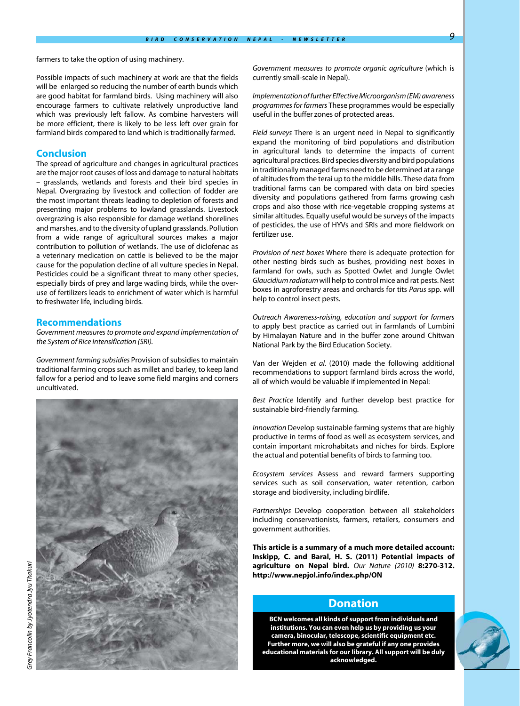farmers to take the option of using machinery.

Possible impacts of such machinery at work are that the fields will be enlarged so reducing the number of earth bunds which are good habitat for farmland birds. Using machinery will also encourage farmers to cultivate relatively unproductive land which was previously left fallow. As combine harvesters will be more efficient, there is likely to be less left over grain for farmland birds compared to land which is traditionally farmed.

#### **Conclusion**

The spread of agriculture and changes in agricultural practices are the major root causes of loss and damage to natural habitats – grasslands, wetlands and forests and their bird species in Nepal. Overgrazing by livestock and collection of fodder are the most important threats leading to depletion of forests and presenting major problems to lowland grasslands. Livestock overgrazing is also responsible for damage wetland shorelines and marshes, and to the diversity of upland grasslands. Pollution from a wide range of agricultural sources makes a major contribution to pollution of wetlands. The use of diclofenac as a veterinary medication on cattle is believed to be the major cause for the population decline of all vulture species in Nepal. Pesticides could be a significant threat to many other species, especially birds of prey and large wading birds, while the overuse of fertilizers leads to enrichment of water which is harmful to freshwater life, including birds.

#### **Recommendations**

*Government measures to promote and expand implementation of the System of Rice Intensification (SRI).*

*Government farming subsidies* Provision of subsidies to maintain traditional farming crops such as millet and barley, to keep land fallow for a period and to leave some field margins and corners uncultivated.



*Implementation of further Effective Microorganism (EM) awareness programmes for farmers* These programmes would be especially useful in the buffer zones of protected areas.

*Field surveys* There is an urgent need in Nepal to significantly expand the monitoring of bird populations and distribution in agricultural lands to determine the impacts of current agricultural practices. Bird species diversity and bird populations in traditionally managed farms need to be determined at a range of altitudes from the terai up to the middle hills. These data from traditional farms can be compared with data on bird species diversity and populations gathered from farms growing cash crops and also those with rice-vegetable cropping systems at similar altitudes. Equally useful would be surveys of the impacts of pesticides, the use of HYVs and SRIs and more fieldwork on fertilizer use.

*Provision of nest boxes* Where there is adequate protection for other nesting birds such as bushes, providing nest boxes in farmland for owls, such as Spotted Owlet and Jungle Owlet *Glaucidium radiatum* will help to control mice and rat pests. Nest boxes in agroforestry areas and orchards for tits *Parus* spp. will help to control insect pests*.*

*Outreach Awareness-raising, education and support for farmers* to apply best practice as carried out in farmlands of Lumbini by Himalayan Nature and in the buffer zone around Chitwan National Park by the Bird Education Society.

Van der Wejden *et al.* (2010) made the following additional recommendations to support farmland birds across the world, all of which would be valuable if implemented in Nepal:

*Best Practice* Identify and further develop best practice for sustainable bird-friendly farming.

*Innovation* Develop sustainable farming systems that are highly productive in terms of food as well as ecosystem services, and contain important microhabitats and niches for birds. Explore the actual and potential benefits of birds to farming too.

*Ecosystem services* Assess and reward farmers supporting services such as soil conservation, water retention, carbon storage and biodiversity, including birdlife.

*Partnerships* Develop cooperation between all stakeholders including conservationists, farmers, retailers, consumers and government authorities.

**This article is a summary of a much more detailed account: Inskipp, C. and Baral, H. S. (2011) Potential impacts of agriculture on Nepal bird.** *Our Nature (2010)* **8:270-312. http://www.nepjol.info/index.php/ON** 

### **Donation**

**BCN welcomes all kinds of support from individuals and institutions. You can even help us by providing us your camera, binocular, telescope, scientific equipment etc. Further more, we will also be grateful if any one provides educational materials for our library. All support will be duly acknowledged.**

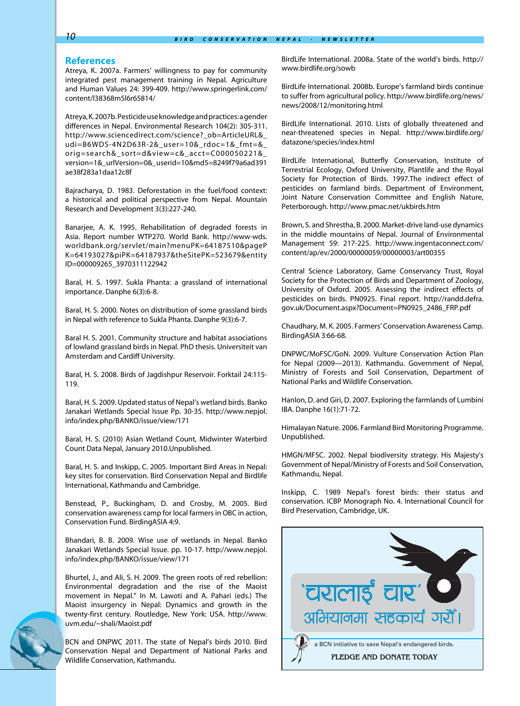#### **References**

Atreya, K. 2007a. Farmers' willingness to pay for community integrated pest management training in Nepal. Agriculture and Human Values 24: 399-409. http://www.springerlink.com/ content/l38368m5l6r65814/

Atreya, K. 2007b. Pesticide use knowledge and practices: a gender differences in Nepal. Environmental Research 104(2): 305-311. http://www.sciencedirect.com/science?\_ob=ArticleURL&\_ udi=B6WDS-4N2D63R-2&\_user=10&\_rdoc=1&\_fmt=&\_ orig=search&\_sort=d&view=c&\_acct=C000050221&\_ version=1&\_urlVersion=0&\_userid=10&md5=8249f79a6ad391 ae38f283a1daa12c8f

Bajracharya, D. 1983. Deforestation in the fuel/food context: a historical and political perspective from Nepal. Mountain Research and Development 3(3):227-240.

Banarjee, A. K. 1995. Rehabilitation of degraded forests in Asia. Report number WTP270. World Bank. http://www-wds. worldbank.org/servlet/main?menuPK=64187510&pageP K=64193027&piPK=64187937&theSitePK=523679&entity ID=000009265\_3970311122942

Baral, H. S. 1997. Sukla Phanta: a grassland of international importance. Danphe 6(3):6-8.

Baral, H. S. 2000. Notes on distribution of some grassland birds in Nepal with reference to Sukla Phanta. Danphe 9(3):6-7.

Baral H. S. 2001. Community structure and habitat associations of lowland grassland birds in Nepal. PhD thesis. Universiteit van Amsterdam and Cardiff University.

Baral, H. S. 2008. Birds of Jagdishpur Reservoir. Forktail 24:115- 119.

Baral, H. S. 2009. Updated status of Nepal's wetland birds. Banko Janakari Wetlands Special Issue Pp. 30-35. http://www.nepjol. info/index.php/BANKO/issue/view/171

Baral, H. S. (2010) Asian Wetland Count, Midwinter Waterbird Count Data Nepal, January 2010.Unpublished.

Baral, H. S. and Inskipp, C. 2005. Important Bird Areas in Nepal: key sites for conservation. Bird Conservation Nepal and Birdlife International, Kathmandu and Cambridge.

Benstead, P., Buckingham, D. and Crosby, M. 2005. Bird conservation awareness camp for local farmers in OBC in action, Conservation Fund. BirdingASIA 4:9.

Bhandari, B. B. 2009. Wise use of wetlands in Nepal. Banko Janakari Wetlands Special Issue. pp. 10-17. http://www.nepjol. info/index.php/BANKO/issue/view/171

Bhurtel, J., and Ali, S. H. 2009. The green roots of red rebellion: Environmental degradation and the rise of the Maoist movement in Nepal." In M. Lawoti and A. Pahari (eds.) The Maoist insurgency in Nepal: Dynamics and growth in the twenty-first century. Routledge, New York: USA. http://www. uvm.edu/~shali/Maoist.pdf

BCN and DNPWC 2011. The state of Nepal's birds 2010. Bird Conservation Nepal and Department of National Parks and Wildlife Conservation, Kathmandu.

BirdLife International. 2008a. State of the world's birds. http:// www.birdlife.org/sowb

BirdLife International. 2008b. Europe's farmland birds continue to suffer from agricultural policy. http://www.birdlife.org/news/ news/2008/12/monitoring.html

BirdLife International. 2010. Lists of globally threatened and near-threatened species in Nepal. http://www.birdlife.org/ datazone/species/index.html

BirdLife International, Butterfly Conservation, Institute of Terrestrial Ecology, Oxford University, Plantlife and the Royal Society for Protection of Birds. 1997.The indirect effect of pesticides on farmland birds. Department of Environment, Joint Nature Conservation Committee and English Nature, Peterborough. http://www.pmac.net/ukbirds.htm

Brown, S. and Shrestha, B. 2000. Market-drive land-use dynamics in the middle mountains of Nepal. Journal of Environmental Management 59: 217-225. http://www.ingentaconnect.com/ content/ap/ev/2000/00000059/00000003/art00355

Central Science Laboratory, Game Conservancy Trust, Royal Society for the Protection of Birds and Department of Zoology, University of Oxford. 2005. Assessing the indirect effects of pesticides on birds. PN0925. Final report. http://randd.defra. gov.uk/Document.aspx?Document=PN0925\_2486\_FRP.pdf

Chaudhary, M. K. 2005. Farmers' Conservation Awareness Camp. BirdingASIA 3:66-68.

DNPWC/MoFSC/GoN. 2009. Vulture Conservation Action Plan for Nepal (2009—2013). Kathmandu. Government of Nepal, Ministry of Forests and Soil Conservation, Department of National Parks and Wildlife Conservation.

Hanlon, D. and Giri, D. 2007. Exploring the farmlands of Lumbini IBA. Danphe 16(1):71-72.

Himalayan Nature. 2006. Farmland Bird Monitoring Programme. Unpublished.

HMGN/MFSC. 2002. Nepal biodiversity strategy. His Majesty's Government of Nepal/Ministry of Forests and Soil Conservation, Kathmandu, Nepal.

Inskipp, C. 1989 Nepal's forest birds: their status and conservation. ICBP Monograph No. 4. International Council for Bird Preservation, Cambridge, UK.

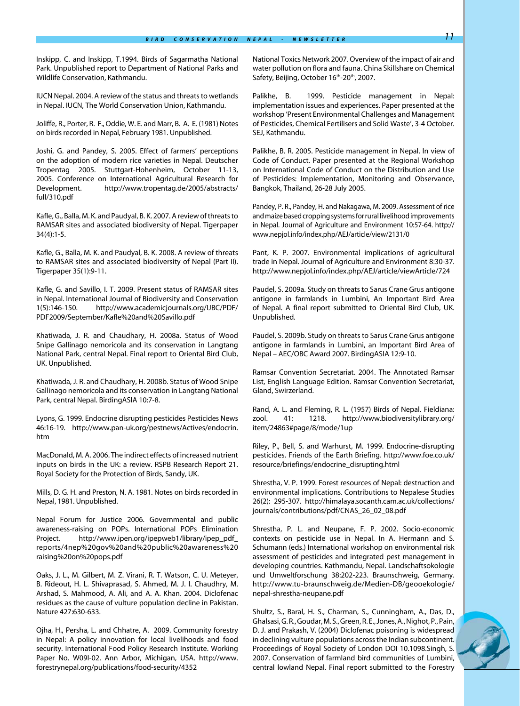Inskipp, C. and Inskipp, T.1994. Birds of Sagarmatha National Park. Unpublished report to Department of National Parks and Wildlife Conservation, Kathmandu.

IUCN Nepal. 2004. A review of the status and threats to wetlands in Nepal. IUCN, The World Conservation Union, Kathmandu.

Joliffe, R., Porter, R. F., Oddie, W. E. and Marr, B. A. E. (1981) Notes on birds recorded in Nepal, February 1981. Unpublished.

Joshi, G. and Pandey, S. 2005. Effect of farmers' perceptions on the adoption of modern rice varieties in Nepal. Deutscher Tropentag 2005. Stuttgart-Hohenheim, October 11-13, 2005. Conference on International Agricultural Research for Development. http://www.tropentag.de/2005/abstracts/ full/310.pdf

Kafle, G., Balla, M. K. and Paudyal, B. K. 2007. A review of threats to RAMSAR sites and associated biodiversity of Nepal. Tigerpaper 34(4):1-5.

Kafle, G., Balla, M. K. and Paudyal, B. K. 2008. A review of threats to RAMSAR sites and associated biodiversity of Nepal (Part II). Tigerpaper 35(1):9-11.

Kafle, G. and Savillo, I. T. 2009. Present status of RAMSAR sites in Nepal. International Journal of Biodiversity and Conservation 1(5):146-150. http://www.academicjournals.org/IJBC/PDF/ PDF2009/September/Kafle%20and%20Savillo.pdf

Khatiwada, J. R. and Chaudhary, H. 2008a. Status of Wood Snipe Gallinago nemoricola and its conservation in Langtang National Park, central Nepal. Final report to Oriental Bird Club, UK. Unpublished.

Khatiwada, J. R. and Chaudhary, H. 2008b. Status of Wood Snipe Gallinago nemoricola and its conservation in Langtang National Park, central Nepal. BirdingASIA 10:7-8.

Lyons, G. 1999. Endocrine disrupting pesticides Pesticides News 46:16-19. http://www.pan-uk.org/pestnews/Actives/endocrin. htm

MacDonald, M. A. 2006. The indirect effects of increased nutrient inputs on birds in the UK: a review. RSPB Research Report 21. Royal Society for the Protection of Birds, Sandy, UK.

Mills, D. G. H. and Preston, N. A. 1981. Notes on birds recorded in Nepal, 1981. Unpublished.

Nepal Forum for Justice 2006. Governmental and public awareness-raising on POPs. International POPs Elimination Project. http://www.ipen.org/ipepweb1/library/ipep\_pdf\_ reports/4nep%20gov%20and%20public%20awareness%20 raising%20on%20pops.pdf

Oaks, J. L., M. Gilbert, M. Z. Virani, R. T. Watson, C. U. Meteyer, B. Rideout, H. L. Shivaprasad, S. Ahmed, M. J. I. Chaudhry, M. Arshad, S. Mahmood, A. Ali, and A. A. Khan. 2004. Diclofenac residues as the cause of vulture population decline in Pakistan. Nature 427:630-633.

Ojha, H., Persha, L. and Chhatre, A. 2009. Community forestry in Nepal: A policy innovation for local livelihoods and food security. International Food Policy Research Institute. Working Paper No. W09I-02. Ann Arbor, Michigan, USA. http://www. forestrynepal.org/publications/food-security/4352

National Toxics Network 2007. Overview of the impact of air and water pollution on flora and fauna. China Skillshare on Chemical Safety, Beijing, October 16<sup>th</sup>-20<sup>th</sup>, 2007.

Palikhe, B. 1999. Pesticide management in Nepal: implementation issues and experiences. Paper presented at the workshop 'Present Environmental Challenges and Management of Pesticides, Chemical Fertilisers and Solid Waste', 3-4 October. SEJ, Kathmandu.

Palikhe, B. R. 2005. Pesticide management in Nepal. In view of Code of Conduct. Paper presented at the Regional Workshop on International Code of Conduct on the Distribution and Use of Pesticides: Implementation, Monitoring and Observance, Bangkok, Thailand, 26-28 July 2005.

Pandey, P. R., Pandey, H. and Nakagawa, M. 2009. Assessment of rice and maize based cropping systems for rural livelihood improvements in Nepal. Journal of Agriculture and Environment 10:57-64. http:// www.nepjol.info/index.php/AEJ/article/view/2131/0

Pant, K. P. 2007. Environmental implications of agricultural trade in Nepal. Journal of Agriculture and Environment 8:30-37. http://www.nepjol.info/index.php/AEJ/article/viewArticle/724

Paudel, S. 2009a. Study on threats to Sarus Crane Grus antigone antigone in farmlands in Lumbini, An Important Bird Area of Nepal. A final report submitted to Oriental Bird Club, UK. Unpublished.

Paudel, S. 2009b. Study on threats to Sarus Crane Grus antigone antigone in farmlands in Lumbini, an Important Bird Area of Nepal – AEC/OBC Award 2007. BirdingASIA 12:9-10.

Ramsar Convention Secretariat. 2004. The Annotated Ramsar List, English Language Edition. Ramsar Convention Secretariat, Gland, Swirzerland.

Rand, A. L. and Fleming, R. L. (1957) Birds of Nepal. Fieldiana: zool. 41: 1218. http://www.biodiversitylibrary.org/ item/24863#page/8/mode/1up

Riley, P., Bell, S. and Warhurst, M. 1999. Endocrine-disrupting pesticides. Friends of the Earth Briefing. http://www.foe.co.uk/ resource/briefings/endocrine\_disrupting.html

Shrestha, V. P. 1999. Forest resources of Nepal: destruction and environmental implications. Contributions to Nepalese Studies 26(2): 295-307. http://himalaya.socanth.cam.ac.uk/collections/ journals/contributions/pdf/CNAS\_26\_02\_08.pdf

Shrestha, P. L. and Neupane, F. P. 2002. Socio-economic contexts on pesticide use in Nepal. In A. Hermann and S. Schumann (eds.) International workshop on environmental risk assessment of pesticides and integrated pest management in developing countries. Kathmandu, Nepal. Landschaftsokologie und Umweltforschung 38:202-223. Braunschweig, Germany. http://www.tu-braunschweig.de/Medien-DB/geooekologie/ nepal-shrestha-neupane.pdf

Shultz, S., Baral, H. S., Charman, S., Cunningham, A., Das, D., Ghalsasi, G. R., Goudar, M. S., Green, R. E., Jones, A., Nighot, P., Pain, D. J. and Prakash, V. (2004) Diclofenac poisoning is widespread in declining vulture populations across the Indian subcontinent. Proceedings of Royal Society of London DOI 10.1098.Singh, S. 2007. Conservation of farmland bird communities of Lumbini, central lowland Nepal. Final report submitted to the Forestry

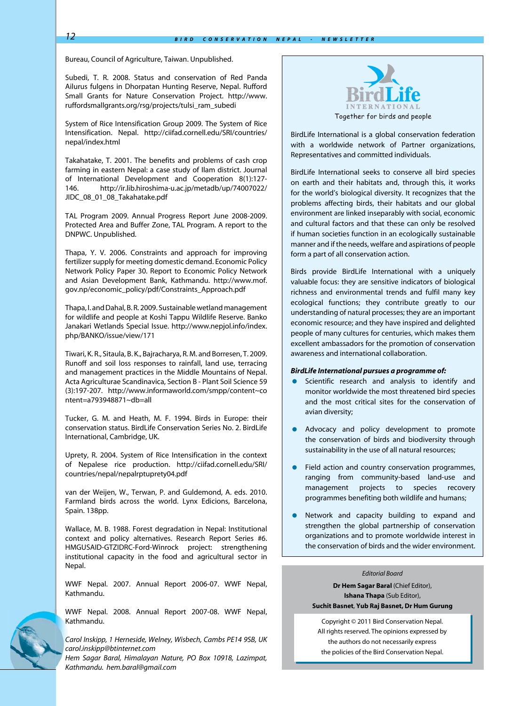Bureau, Council of Agriculture, Taiwan. Unpublished.

Subedi, T. R. 2008. Status and conservation of Red Panda Ailurus fulgens in Dhorpatan Hunting Reserve, Nepal. Rufford Small Grants for Nature Conservation Project. http://www. ruffordsmallgrants.org/rsg/projects/tulsi\_ram\_subedi

System of Rice Intensification Group 2009. The System of Rice Intensification. Nepal. http://ciifad.cornell.edu/SRI/countries/ nepal/index.html

Takahatake, T. 2001. The benefits and problems of cash crop farming in eastern Nepal: a case study of Ilam district. Journal of International Development and Cooperation 8(1):127- 146. http://ir.lib.hiroshima-u.ac.jp/metadb/up/74007022/ JIDC\_08\_01\_08\_Takahatake.pdf

TAL Program 2009. Annual Progress Report June 2008-2009. Protected Area and Buffer Zone, TAL Program. A report to the DNPWC. Unpublished.

Thapa, Y. V. 2006. Constraints and approach for improving fertilizer supply for meeting domestic demand. Economic Policy Network Policy Paper 30. Report to Economic Policy Network and Asian Development Bank, Kathmandu. http://www.mof. gov.np/economic\_policy/pdf/Constraints\_Approach.pdf

Thapa, I. and Dahal, B. R. 2009. Sustainable wetland management for wildlife and people at Koshi Tappu Wildlife Reserve. Banko Janakari Wetlands Special Issue. http://www.nepjol.info/index. php/BANKO/issue/view/171

Tiwari, K. R., Sitaula, B. K., Bajracharya, R. M. and Borresen, T. 2009. Runoff and soil loss responses to rainfall, land use, terracing and management practices in the Middle Mountains of Nepal. Acta Agriculturae Scandinavica, Section B - Plant Soil Science 59 (3):197-207. http://www.informaworld.com/smpp/content~co ntent=a793948871~db=all

Tucker, G. M. and Heath, M. F. 1994. Birds in Europe: their conservation status. BirdLife Conservation Series No. 2. BirdLife International, Cambridge, UK.

Uprety, R. 2004. System of Rice Intensification in the context of Nepalese rice production. http://ciifad.cornell.edu/SRI/ countries/nepal/nepalrptuprety04.pdf

van der Weijen, W., Terwan, P. and Guldemond, A. eds. 2010. Farmland birds across the world. Lynx Edicions, Barcelona, Spain. 138pp.

Wallace, M. B. 1988. Forest degradation in Nepal: Institutional context and policy alternatives. Research Report Series #6. HMGUSAID-GTZIDRC-Ford-Winrock project: strengthening institutional capacity in the food and agricultural sector in Nepal.

WWF Nepal. 2007. Annual Report 2006-07. WWF Nepal, Kathmandu.

WWF Nepal. 2008. Annual Report 2007-08. WWF Nepal, Kathmandu.

*Carol Inskipp, 1 Herneside, Welney, Wisbech, Cambs PE14 9SB, UK carol.inskipp@btinternet.com Hem Sagar Baral, Himalayan Nature, PO Box 10918, Lazimpat, Kathmandu. hem.baral@gmail.com*



BirdLife International is a global conservation federation with a worldwide network of Partner organizations, Representatives and committed individuals.

BirdLife International seeks to conserve all bird species on earth and their habitats and, through this, it works for the world's biological diversity. It recognizes that the problems affecting birds, their habitats and our global environment are linked inseparably with social, economic and cultural factors and that these can only be resolved if human societies function in an ecologically sustainable manner and if the needs, welfare and aspirations of people form a part of all conservation action.

Birds provide BirdLife International with a uniquely valuable focus: they are sensitive indicators of biological richness and environmental trends and fulfil many key ecological functions; they contribute greatly to our understanding of natural processes; they are an important economic resource; and they have inspired and delighted people of many cultures for centuries, which makes them excellent ambassadors for the promotion of conservation awareness and international collaboration.

#### *BirdLife International pursues a programme of:*

- **•** Scientific research and analysis to identify and monitor worldwide the most threatened bird species and the most critical sites for the conservation of avian diversity;
- Advocacy and policy development to promote the conservation of birds and biodiversity through sustainability in the use of all natural resources;
- **•** Field action and country conservation programmes, ranging from community-based land-use and management projects to species recovery programmes benefiting both wildlife and humans;
- Network and capacity building to expand and strengthen the global partnership of conservation organizations and to promote worldwide interest in the conservation of birds and the wider environment.

#### *Editorial Board*

**Dr Hem Sagar Baral (Chief Editor), Ishana Thapa** (Sub Editor), **Suchit Basnet**, **Yub Raj Basnet, Dr Hum Gurung**

Copyright © 2011 Bird Conservation Nepal. All rights reserved. The opinions expressed by the authors do not necessarily express the policies of the Bird Conservation Nepal.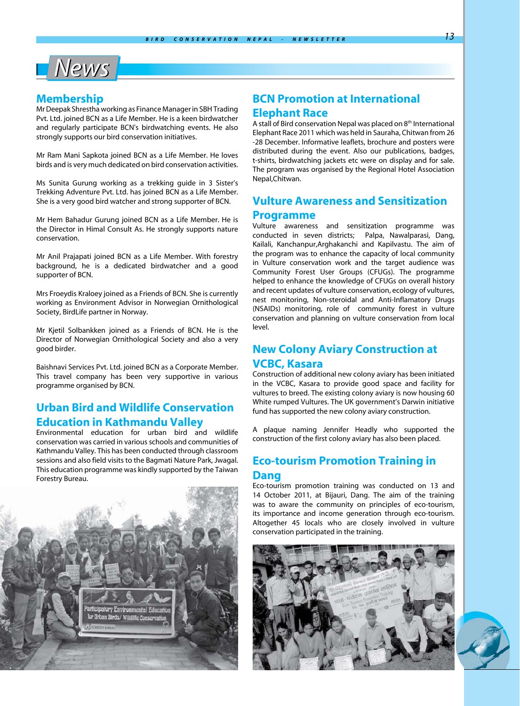# L<sup>News</sup>

### **Membership**

Mr Deepak Shrestha working as Finance Manager in SBH Trading Pvt. Ltd. joined BCN as a Life Member. He is a keen birdwatcher and regularly participate BCN's birdwatching events. He also strongly supports our bird conservation initiatives.

Mr Ram Mani Sapkota joined BCN as a Life Member. He loves birds and is very much dedicated on bird conservation activities.

Ms Sunita Gurung working as a trekking guide in 3 Sister's Trekking Adventure Pvt. Ltd. has joined BCN as a Life Member. She is a very good bird watcher and strong supporter of BCN.

Mr Hem Bahadur Gurung joined BCN as a Life Member. He is the Director in Himal Consult As. He strongly supports nature conservation.

Mr Anil Prajapati joined BCN as a Life Member. With forestry background, he is a dedicated birdwatcher and a good supporter of BCN.

Mrs Froeydis Kraloey joined as a Friends of BCN. She is currently working as Environment Advisor in Norwegian Ornithological Society, BirdLife partner in Norway.

Mr Kjetil Solbankken joined as a Friends of BCN. He is the Director of Norwegian Ornithological Society and also a very good birder.

Baishnavi Services Pvt. Ltd. joined BCN as a Corporate Member. This travel company has been very supportive in various programme organised by BCN.

# **Urban Bird and Wildlife Conservation Education in Kathmandu Valley**

Environmental education for urban bird and wildlife conservation was carried in various schools and communities of Kathmandu Valley. This has been conducted through classroom sessions and also field visits to the Bagmati Nature Park, Jwagal. This education programme was kindly supported by the Taiwan Forestry Bureau.



# **BCN Promotion at International Elephant Race**

A stall of Bird conservation Nepal was placed on 8<sup>th</sup> International Elephant Race 2011 which was held in Sauraha, Chitwan from 26 -28 December. Informative leaflets, brochure and posters were distributed during the event. Also our publications, badges, t-shirts, birdwatching jackets etc were on display and for sale. The program was organised by the Regional Hotel Association Nepal,Chitwan.

# **Vulture Awareness and Sensitization**

### **Programme**

Vulture awareness and sensitization programme was conducted in seven districts; Palpa, Nawalparasi, Dang, Kailali, Kanchanpur,Arghakanchi and Kapilvastu. The aim of the program was to enhance the capacity of local community in Vulture conservation work and the target audience was Community Forest User Groups (CFUGs). The programme helped to enhance the knowledge of CFUGs on overall history and recent updates of vulture conservation, ecology of vultures, nest monitoring, Non-steroidal and Anti-Inflamatory Drugs (NSAIDs) monitoring, role of community forest in vulture conservation and planning on vulture conservation from local level.

# **New Colony Aviary Construction at VCBC, Kasara**

Construction of additional new colony aviary has been initiated in the VCBC, Kasara to provide good space and facility for vultures to breed. The existing colony aviary is now housing 60 White rumped Vultures. The UK government's Darwin initiative fund has supported the new colony aviary construction.

A plaque naming Jennifer Headly who supported the construction of the first colony aviary has also been placed.

# **Eco-tourism Promotion Training in Dang**

Eco-tourism promotion training was conducted on 13 and 14 October 2011, at Bijauri, Dang. The aim of the training was to aware the community on principles of eco-tourism, its importance and income generation through eco-tourism. Altogether 45 locals who are closely involved in vulture conservation participated in the training.



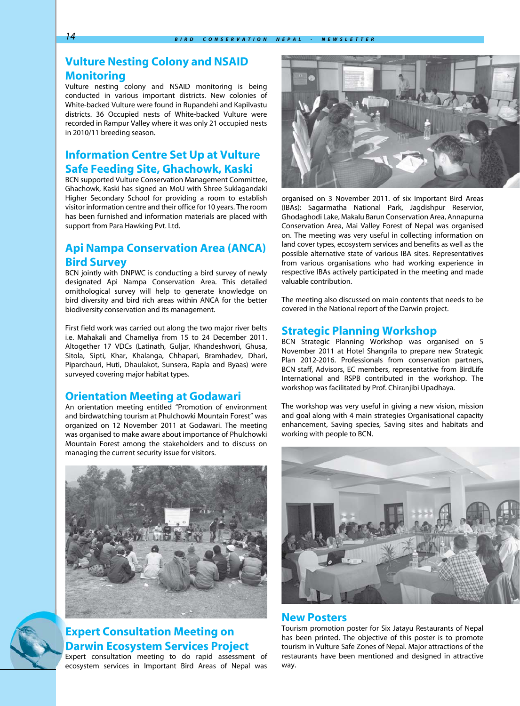# **Vulture Nesting Colony and NSAID Monitoring**

Vulture nesting colony and NSAID monitoring is being conducted in various important districts. New colonies of White-backed Vulture were found in Rupandehi and Kapilvastu districts. 36 Occupied nests of White-backed Vulture were recorded in Rampur Valley where it was only 21 occupied nests in 2010/11 breeding season.

# **Information Centre Set Up at Vulture Safe Feeding Site, Ghachowk, Kaski**

BCN supported Vulture Conservation Management Committee, Ghachowk, Kaski has signed an MoU with Shree Suklagandaki Higher Secondary School for providing a room to establish visitor information centre and their office for 10 years. The room has been furnished and information materials are placed with support from Para Hawking Pvt. Ltd.

# **Api Nampa Conservation Area (ANCA) Bird Survey**

BCN jointly with DNPWC is conducting a bird survey of newly designated Api Nampa Conservation Area. This detailed ornithological survey will help to generate knowledge on bird diversity and bird rich areas within ANCA for the better biodiversity conservation and its management.

First field work was carried out along the two major river belts i.e. Mahakali and Chameliya from 15 to 24 December 2011. Altogether 17 VDCs (Latinath, Guljar, Khandeshwori, Ghusa, Sitola, Sipti, Khar, Khalanga, Chhapari, Bramhadev, Dhari, Piparchauri, Huti, Dhaulakot, Sunsera, Rapla and Byaas) were surveyed covering major habitat types.

### **Orientation Meeting at Godawari**

An orientation meeting entitled "Promotion of environment and birdwatching tourism at Phulchowki Mountain Forest" was organized on 12 November 2011 at Godawari. The meeting was organised to make aware about importance of Phulchowki Mountain Forest among the stakeholders and to discuss on managing the current security issue for visitors.





# **Expert Consultation Meeting on Darwin Ecosystem Services Project**

Expert consultation meeting to do rapid assessment of ecosystem services in Important Bird Areas of Nepal was



organised on 3 November 2011. of six Important Bird Areas (IBAs): Sagarmatha National Park, Jagdishpur Reservior, Ghodaghodi Lake, Makalu Barun Conservation Area, Annapurna Conservation Area, Mai Valley Forest of Nepal was organised on. The meeting was very useful in collecting information on land cover types, ecosystem services and benefits as well as the possible alternative state of various IBA sites. Representatives from various organisations who had working experience in respective IBAs actively participated in the meeting and made valuable contribution.

The meeting also discussed on main contents that needs to be covered in the National report of the Darwin project.

### **Strategic Planning Workshop**

BCN Strategic Planning Workshop was organised on 5 November 2011 at Hotel Shangrila to prepare new Strategic Plan 2012-2016. Professionals from conservation partners, BCN staff, Advisors, EC members, representative from BirdLife International and RSPB contributed in the workshop. The workshop was facilitated by Prof. Chiranjibi Upadhaya.

The workshop was very useful in giving a new vision, mission and goal along with 4 main strategies Organisational capacity enhancement, Saving species, Saving sites and habitats and working with people to BCN.



### **New Posters**

Tourism promotion poster for Six Jatayu Restaurants of Nepal has been printed. The objective of this poster is to promote tourism in Vulture Safe Zones of Nepal. Major attractions of the restaurants have been mentioned and designed in attractive way.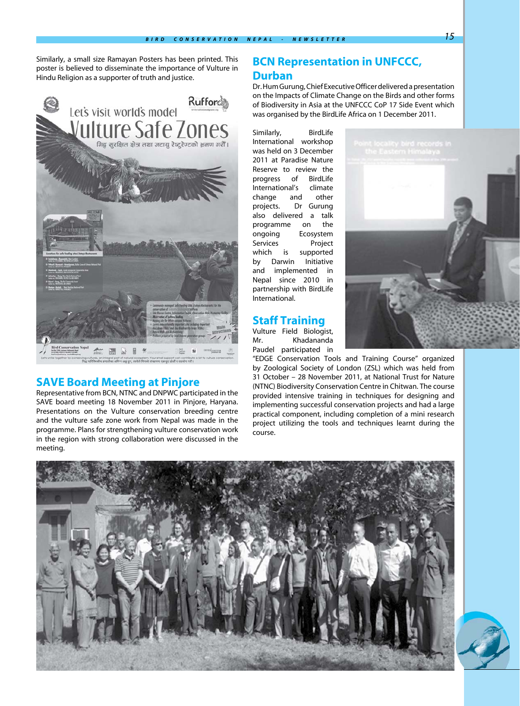Similarly, a small size Ramayan Posters has been printed. This poster is believed to disseminate the importance of Vulture in Hindu Religion as a supporter of truth and justice.



### **SAVE Board Meeting at Pinjore**

Representative from BCN, NTNC and DNPWC participated in the SAVE board meeting 18 November 2011 in Pinjore, Haryana. Presentations on the Vulture conservation breeding centre and the vulture safe zone work from Nepal was made in the programme. Plans for strengthening vulture conservation work in the region with strong collaboration were discussed in the meeting.

# **BCN Representation in UNFCCC, Durban**

Dr. Hum Gurung, Chief Executive Officer delivered a presentation on the Impacts of Climate Change on the Birds and other forms of Biodiversity in Asia at the UNFCCC CoP 17 Side Event which was organised by the BirdLife Africa on 1 December 2011.

Similarly, BirdLife International workshop was held on 3 December 2011 at Paradise Nature Reserve to review the progress of BirdLife International's climate change and other projects. Dr Gurung also delivered a talk programme on the ongoing Ecosystem Services Project which is supported by Darwin Initiative and implemented in Nepal since 2010 in partnership with BirdLife International.

## **Staff Training**

Mr. Khadananda Paudel participated in

Vulture Field Biologist, "EDGE Conservation Tools and Training Course" organized by Zoological Society of London (ZSL) which was held from 31 October – 28 November 2011, at National Trust for Nature (NTNC) Biodiversity Conservation Centre in Chitwan. The course provided intensive training in techniques for designing and implementing successful conservation projects and had a large practical component, including completion of a mini research project utilizing the tools and techniques learnt during the





course.